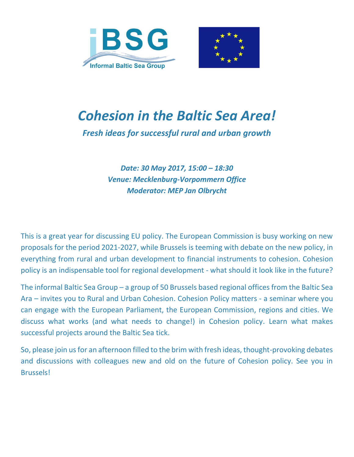



# *Cohesion in the Baltic Sea Area!*

*Fresh ideas for successful rural and urban growth*

*Date: 30 May 2017, 15:00 – 18:30 Venue: Mecklenburg-Vorpommern Office Moderator: MEP Jan Olbrycht*

This is a great year for discussing EU policy. The European Commission is busy working on new proposals for the period 2021-2027, while Brussels is teeming with debate on the new policy, in everything from rural and urban development to financial instruments to cohesion. Cohesion policy is an indispensable tool for regional development - what should it look like in the future?

The informal Baltic Sea Group – a group of 50 Brussels based regional offices from the Baltic Sea Ara – invites you to Rural and Urban Cohesion. Cohesion Policy matters - a seminar where you can engage with the European Parliament, the European Commission, regions and cities. We discuss what works (and what needs to change!) in Cohesion policy. Learn what makes successful projects around the Baltic Sea tick.

So, please join us for an afternoon filled to the brim with fresh ideas, thought-provoking debates and discussions with colleagues new and old on the future of Cohesion policy. See you in Brussels!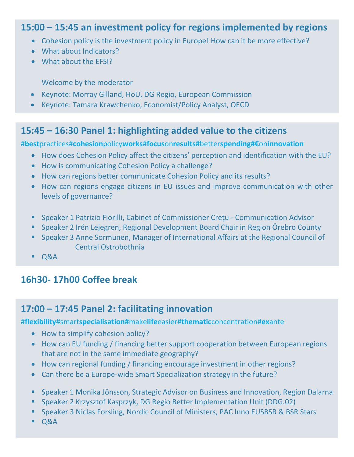### **15:00 – 15:45 an investment policy for regions implemented by regions**

- Cohesion policy is the investment policy in Europe! How can it be more effective?
- What about Indicators?
- What about the EFSI?

Welcome by the moderator

- Keynote: Morray Gilland, HoU, DG Regio, European Commission
- Keynote: Tamara Krawchenko, Economist/Policy Analyst, OECD

### **15:45 – 16:30 Panel 1: highlighting added value to the citizens**

#**best**practices#**cohesion**policy**works**#**focus**on**results#**better**spending#€**on**innovation**

- How does Cohesion Policy affect the citizens' perception and identification with the EU?
- How is communicating Cohesion Policy a challenge?
- How can regions better communicate Cohesion Policy and its results?
- How can regions engage citizens in EU issues and improve communication with other levels of governance?
- Speaker 1 Patrizio Fiorilli, Cabinet of Commissioner Cretu Communication Advisor
- Speaker 2 Irén Lejegren, Regional Development Board Chair in Region Örebro County
- Speaker 3 Anne Sormunen, Manager of International Affairs at the Regional Council of Central Ostrobothnia
- $\overline{Q}$

# **16h30- 17h00 Coffee break**

### **17:00 – 17:45 Panel 2: facilitating innovation**

#**flexibility**#smart**specialisation#**make**life**easier#**thematic**concentration#**ex**ante

- How to simplify cohesion policy?
- How can EU funding / financing better support cooperation between European regions that are not in the same immediate geography?
- How can regional funding / financing encourage investment in other regions?
- Can there be a Europe-wide Smart Specialization strategy in the future?
- Speaker 1 Monika Jönsson, Strategic Advisor on Business and Innovation, Region Dalarna
- Speaker 2 Krzysztof Kasprzyk, DG Regio Better Implementation Unit (DDG.02)
- **Speaker 3 Niclas Forsling, Nordic Council of Ministers, PAC Inno EUSBSR & BSR Stars**
- $\overline{Q}$